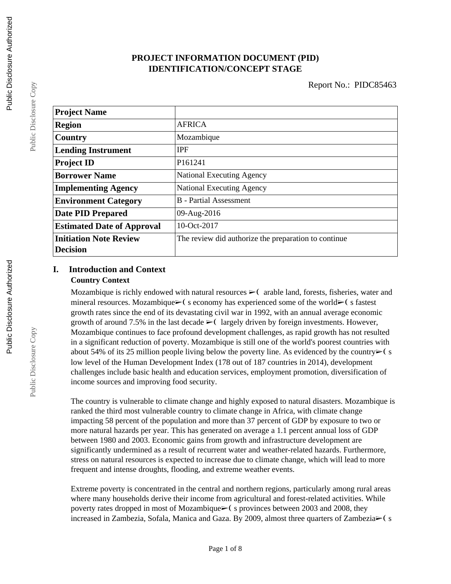## **PROJECT INFORMATION DOCUMENT (PID) IDENTIFICATION/CONCEPT STAGE**

| <b>Project Name</b>               |                                                      |  |
|-----------------------------------|------------------------------------------------------|--|
| <b>Region</b>                     | <b>AFRICA</b>                                        |  |
| Country                           | Mozambique                                           |  |
| <b>Lending Instrument</b>         | <b>IPF</b>                                           |  |
| <b>Project ID</b>                 | P161241                                              |  |
| <b>Borrower Name</b>              | <b>National Executing Agency</b>                     |  |
| <b>Implementing Agency</b>        | <b>National Executing Agency</b>                     |  |
| <b>Environment Category</b>       | <b>B</b> - Partial Assessment                        |  |
| <b>Date PID Prepared</b>          | 09-Aug-2016                                          |  |
| <b>Estimated Date of Approval</b> | 10-Oct-2017                                          |  |
| <b>Initiation Note Review</b>     | The review did authorize the preparation to continue |  |
| <b>Decision</b>                   |                                                      |  |

### **I. Introduction and Context Country Context**

Mozambique is richly endowed with natural resources  $\triangleright$  (arable land, forests, fisheries, water and mineral resources. Mozambique $\triangleright$  (seconomy has experienced some of the world $\triangleright$  (sfastest growth rates since the end of its devastating civil war in 1992, with an annual average economic growth of around 7.5% in the last decade  $\geq 0$  largely driven by foreign investments. However, Mozambique continues to face profound development challenges, as rapid growth has not resulted in a significant reduction of poverty. Mozambique is still one of the world's poorest countries with about 54% of its 25 million people living below the poverty line. As evidenced by the country $\triangleright$  (s low level of the Human Development Index (178 out of 187 countries in 2014), development challenges include basic health and education services, employment promotion, diversification of income sources and improving food security.

The country is vulnerable to climate change and highly exposed to natural disasters. Mozambique is ranked the third most vulnerable country to climate change in Africa, with climate change impacting 58 percent of the population and more than 37 percent of GDP by exposure to two or more natural hazards per year. This has generated on average a 1.1 percent annual loss of GDP between 1980 and 2003. Economic gains from growth and infrastructure development are significantly undermined as a result of recurrent water and weather-related hazards. Furthermore, stress on natural resources is expected to increase due to climate change, which will lead to more frequent and intense droughts, flooding, and extreme weather events.

Extreme poverty is concentrated in the central and northern regions, particularly among rural areas where many households derive their income from agricultural and forest-related activities. While poverty rates dropped in most of Mozambique► (s provinces between 2003 and 2008, they increased in Zambezia, Sofala, Manica and Gaza. By 2009, almost three quarters of Zambezia $\blacktriangleright$  ( s

Public Disclosure Copy

Public Disclosure Copy

Public Disclosure Copy

Public Disclosure Copy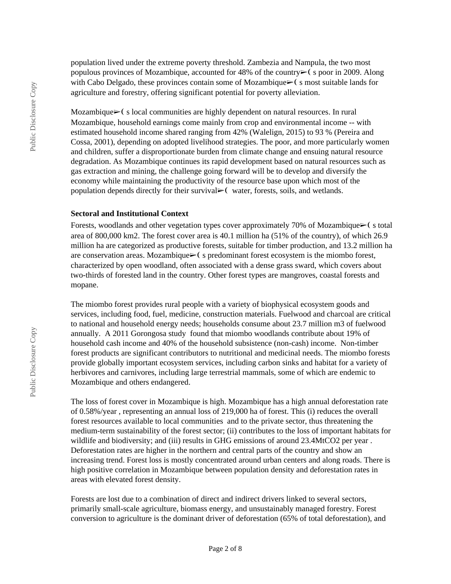population lived under the extreme poverty threshold. Zambezia and Nampula, the two most populous provinces of Mozambique, accounted for 48% of the country $\triangleright$  (s poor in 2009. Along with Cabo Delgado, these provinces contain some of Mozambique $\geq$  (se most suitable lands for agriculture and forestry, offering significant potential for poverty alleviation.

Mozambique► (s local communities are highly dependent on natural resources. In rural Mozambique, household earnings come mainly from crop and environmental income -- with estimated household income shared ranging from 42% (Walelign, 2015) to 93 % (Pereira and Cossa, 2001), depending on adopted livelihood strategies. The poor, and more particularly women and children, suffer a disproportionate burden from climate change and ensuing natural resource degradation. As Mozambique continues its rapid development based on natural resources such as gas extraction and mining, the challenge going forward will be to develop and diversify the economy while maintaining the productivity of the resource base upon which most of the population depends directly for their survival► (water, forests, soils, and wetlands.

#### **Sectoral and Institutional Context**

Forests, woodlands and other vegetation types cover approximately 70% of Mozambique $\geq$  (s total area of 800,000 km2. The forest cover area is 40.1 million ha (51% of the country), of which 26.9 million ha are categorized as productive forests, suitable for timber production, and 13.2 million ha are conservation areas. Mozambique► (s predominant forest ecosystem is the miombo forest, characterized by open woodland, often associated with a dense grass sward, which covers about two-thirds of forested land in the country. Other forest types are mangroves, coastal forests and mopane.

The miombo forest provides rural people with a variety of biophysical ecosystem goods and services, including food, fuel, medicine, construction materials. Fuelwood and charcoal are critical to national and household energy needs; households consume about 23.7 million m3 of fuelwood annually. A 2011 Gorongosa study found that miombo woodlands contribute about 19% of household cash income and 40% of the household subsistence (non-cash) income. Non-timber forest products are significant contributors to nutritional and medicinal needs. The miombo forests provide globally important ecosystem services, including carbon sinks and habitat for a variety of herbivores and carnivores, including large terrestrial mammals, some of which are endemic to Mozambique and others endangered.

The loss of forest cover in Mozambique is high. Mozambique has a high annual deforestation rate of 0.58%/year , representing an annual loss of 219,000 ha of forest. This (i) reduces the overall forest resources available to local communities and to the private sector, thus threatening the medium-term sustainability of the forest sector; (ii) contributes to the loss of important habitats for wildlife and biodiversity; and (iii) results in GHG emissions of around 23.4MtCO2 per year. Deforestation rates are higher in the northern and central parts of the country and show an increasing trend. Forest loss is mostly concentrated around urban centers and along roads. There is high positive correlation in Mozambique between population density and deforestation rates in areas with elevated forest density.

Forests are lost due to a combination of direct and indirect drivers linked to several sectors, primarily small-scale agriculture, biomass energy, and unsustainably managed forestry. Forest conversion to agriculture is the dominant driver of deforestation (65% of total deforestation), and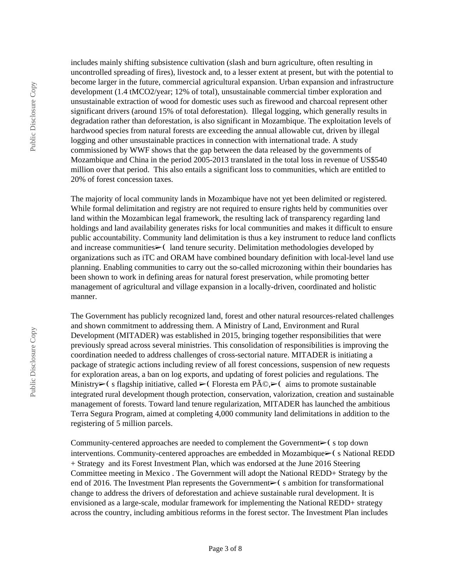includes mainly shifting subsistence cultivation (slash and burn agriculture, often resulting in uncontrolled spreading of fires), livestock and, to a lesser extent at present, but with the potential to become larger in the future, commercial agricultural expansion. Urban expansion and infrastructure development (1.4 tMCO2/year; 12% of total), unsustainable commercial timber exploration and unsustainable extraction of wood for domestic uses such as firewood and charcoal represent other significant drivers (around 15% of total deforestation). Illegal logging, which generally results in degradation rather than deforestation, is also significant in Mozambique. The exploitation levels of hardwood species from natural forests are exceeding the annual allowable cut, driven by illegal logging and other unsustainable practices in connection with international trade. A study commissioned by WWF shows that the gap between the data released by the governments of Mozambique and China in the period 2005-2013 translated in the total loss in revenue of US\$540 million over that period. This also entails a significant loss to communities, which are entitled to 20% of forest concession taxes.

The majority of local community lands in Mozambique have not yet been delimited or registered. While formal delimitation and registry are not required to ensure rights held by communities over land within the Mozambican legal framework, the resulting lack of transparency regarding land holdings and land availability generates risks for local communities and makes it difficult to ensure public accountability. Community land delimitation is thus a key instrument to reduce land conflicts and increase communities► (land tenure security. Delimitation methodologies developed by organizations such as iTC and ORAM have combined boundary definition with local-level land use planning. Enabling communities to carry out the so-called microzoning within their boundaries has been shown to work in defining areas for natural forest preservation, while promoting better management of agricultural and village expansion in a locally-driven, coordinated and holistic manner.

The Government has publicly recognized land, forest and other natural resources-related challenges and shown commitment to addressing them. A Ministry of Land, Environment and Rural Development (MITADER) was established in 2015, bringing together responsibilities that were previously spread across several ministries. This consolidation of responsibilities is improving the coordination needed to address challenges of cross-sectorial nature. MITADER is initiating a package of strategic actions including review of all forest concessions, suspension of new requests for exploration areas, a ban on log exports, and updating of forest policies and regulations. The Ministry $\triangleright$  (s flagship initiative, called  $\triangleright$  (Floresta em Pé, $\triangleright$  (aims to promote sustainable integrated rural development though protection, conservation, valorization, creation and sustainable management of forests. Toward land tenure regularization, MITADER has launched the ambitious Terra Segura Program, aimed at completing 4,000 community land delimitations in addition to the registering of 5 million parcels.

Community-centered approaches are needed to complement the Government $\triangleright$  (stop down interventions. Community-centered approaches are embedded in Mozambique➢❨ s National REDD + Strategy and its Forest Investment Plan, which was endorsed at the June 2016 Steering Committee meeting in Mexico . The Government will adopt the National REDD+ Strategy by the end of 2016. The Investment Plan represents the Government $\triangleright$  (s ambition for transformational change to address the drivers of deforestation and achieve sustainable rural development. It is envisioned as a large-scale, modular framework for implementing the National REDD+ strategy across the country, including ambitious reforms in the forest sector. The Investment Plan includes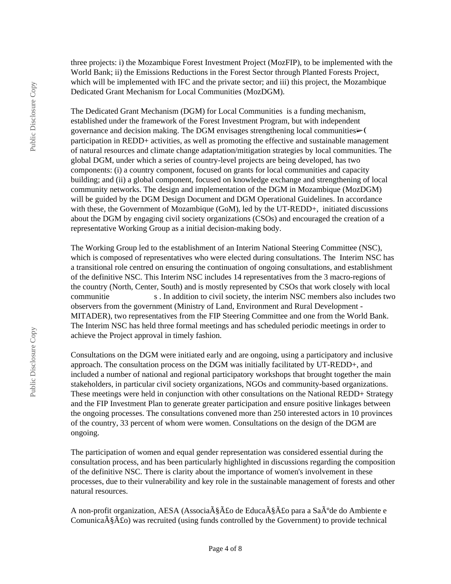three projects: i) the Mozambique Forest Investment Project (MozFIP), to be implemented with the World Bank; ii) the Emissions Reductions in the Forest Sector through Planted Forests Project, which will be implemented with IFC and the private sector; and iii) this project, the Mozambique Dedicated Grant Mechanism for Local Communities (MozDGM).

The Dedicated Grant Mechanism (DGM) for Local Communities is a funding mechanism, established under the framework of the Forest Investment Program, but with independent governance and decision making. The DGM envisages strengthening local communities $\triangleright$ . participation in REDD+ activities, as well as promoting the effective and sustainable management of natural resources and climate change adaptation/mitigation strategies by local communities. The global DGM, under which a series of country-level projects are being developed, has two components: (i) a country component, focused on grants for local communities and capacity building; and (ii) a global component, focused on knowledge exchange and strengthening of local community networks. The design and implementation of the DGM in Mozambique (MozDGM) will be guided by the DGM Design Document and DGM Operational Guidelines. In accordance with these, the Government of Mozambique (GoM), led by the UT-REDD+, initiated discussions about the DGM by engaging civil society organizations (CSOs) and encouraged the creation of a representative Working Group as a initial decision-making body.

The Working Group led to the establishment of an Interim National Steering Committee (NSC), which is composed of representatives who were elected during consultations. The Interim NSC has a transitional role centred on ensuring the continuation of ongoing consultations, and establishment of the definitive NSC. This Interim NSC includes 14 representatives from the 3 macro-regions of the country (North, Center, South) and is mostly represented by CSOs that work closely with local communitie s . In addition to civil society, the interim NSC members also includes two observers from the government (Ministry of Land, Environment and Rural Development - MITADER), two representatives from the FIP Steering Committee and one from the World Bank. The Interim NSC has held three formal meetings and has scheduled periodic meetings in order to achieve the Project approval in timely fashion.

Consultations on the DGM were initiated early and are ongoing, using a participatory and inclusive approach. The consultation process on the DGM was initially facilitated by UT-REDD+, and included a number of national and regional participatory workshops that brought together the main stakeholders, in particular civil society organizations, NGOs and community-based organizations. These meetings were held in conjunction with other consultations on the National REDD+ Strategy and the FIP Investment Plan to generate greater participation and ensure positive linkages between the ongoing processes. The consultations convened more than 250 interested actors in 10 provinces of the country, 33 percent of whom were women. Consultations on the design of the DGM are ongoing.

The participation of women and equal gender representation was considered essential during the consultation process, and has been particularly highlighted in discussions regarding the composition of the definitive NSC. There is clarity about the importance of women's involvement in these processes, due to their vulnerability and key role in the sustainable management of forests and other natural resources.

A non-profit organization, AESA (Associa $\tilde{A}\$ § $\tilde{A}$ £o de Educa $\tilde{A}\$ § $\tilde{A}$ £o para a Sa $\tilde{A}^{\circ}$ de do Ambiente e Comunica $\tilde{\mathbf{A}}\tilde{\mathbf{A}}\tilde{\mathbf{A}}$  as recruited (using funds controlled by the Government) to provide technical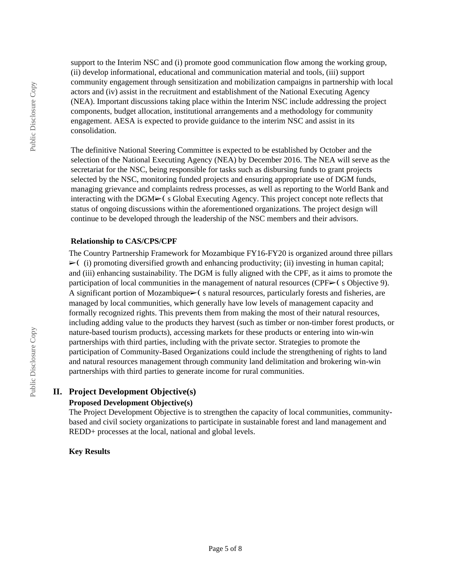support to the Interim NSC and (i) promote good communication flow among the working group, (ii) develop informational, educational and communication material and tools, (iii) support community engagement through sensitization and mobilization campaigns in partnership with local actors and (iv) assist in the recruitment and establishment of the National Executing Agency (NEA). Important discussions taking place within the Interim NSC include addressing the project components, budget allocation, institutional arrangements and a methodology for community engagement. AESA is expected to provide guidance to the interim NSC and assist in its consolidation.

The definitive National Steering Committee is expected to be established by October and the selection of the National Executing Agency (NEA) by December 2016. The NEA will serve as the secretariat for the NSC, being responsible for tasks such as disbursing funds to grant projects selected by the NSC, monitoring funded projects and ensuring appropriate use of DGM funds, managing grievance and complaints redress processes, as well as reporting to the World Bank and interacting with the DGM➢❨ s Global Executing Agency. This project concept note reflects that status of ongoing discussions within the aforementioned organizations. The project design will continue to be developed through the leadership of the NSC members and their advisors.

### **Relationship to CAS/CPS/CPF**

The Country Partnership Framework for Mozambique FY16-FY20 is organized around three pillars  $\triangleright$  (i) promoting diversified growth and enhancing productivity; (ii) investing in human capital; and (iii) enhancing sustainability. The DGM is fully aligned with the CPF, as it aims to promote the participation of local communities in the management of natural resources (CPF $\triangleright$  (s Objective 9). A significant portion of Mozambique $\geq$ (s natural resources, particularly forests and fisheries, are managed by local communities, which generally have low levels of management capacity and formally recognized rights. This prevents them from making the most of their natural resources, including adding value to the products they harvest (such as timber or non-timber forest products, or nature-based tourism products), accessing markets for these products or entering into win-win partnerships with third parties, including with the private sector. Strategies to promote the participation of Community-Based Organizations could include the strengthening of rights to land and natural resources management through community land delimitation and brokering win-win partnerships with third parties to generate income for rural communities.

#### **II. Project Development Objective(s) Proposed Development Objective(s)**

The Project Development Objective is to strengthen the capacity of local communities, communitybased and civil society organizations to participate in sustainable forest and land management and REDD+ processes at the local, national and global levels.

### **Key Results**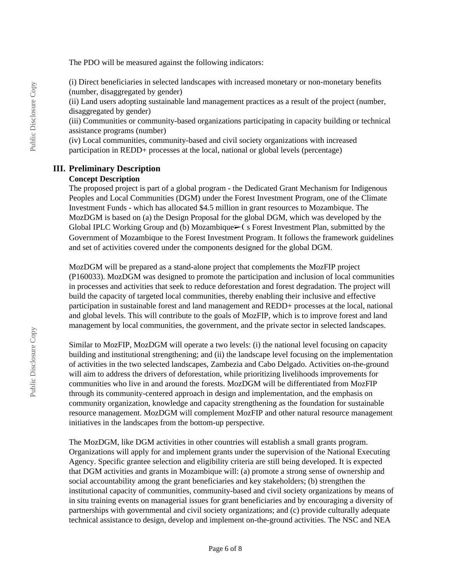The PDO will be measured against the following indicators:

(i) Direct beneficiaries in selected landscapes with increased monetary or non-monetary benefits (number, disaggregated by gender)

(ii) Land users adopting sustainable land management practices as a result of the project (number, disaggregated by gender)

(iii) Communities or community-based organizations participating in capacity building or technical assistance programs (number)

(iv) Local communities, community-based and civil society organizations with increased participation in REDD+ processes at the local, national or global levels (percentage)

#### **III. Preliminary Description**

### **Concept Description**

The proposed project is part of a global program - the Dedicated Grant Mechanism for Indigenous Peoples and Local Communities (DGM) under the Forest Investment Program, one of the Climate Investment Funds - which has allocated \$4.5 million in grant resources to Mozambique. The MozDGM is based on (a) the Design Proposal for the global DGM, which was developed by the Global IPLC Working Group and (b) Mozambique►(s Forest Investment Plan, submitted by the Government of Mozambique to the Forest Investment Program. It follows the framework guidelines and set of activities covered under the components designed for the global DGM.

MozDGM will be prepared as a stand-alone project that complements the MozFIP project (P160033). MozDGM was designed to promote the participation and inclusion of local communities in processes and activities that seek to reduce deforestation and forest degradation. The project will build the capacity of targeted local communities, thereby enabling their inclusive and effective participation in sustainable forest and land management and REDD+ processes at the local, national and global levels. This will contribute to the goals of MozFIP, which is to improve forest and land management by local communities, the government, and the private sector in selected landscapes.

Similar to MozFIP, MozDGM will operate a two levels: (i) the national level focusing on capacity building and institutional strengthening; and (ii) the landscape level focusing on the implementation of activities in the two selected landscapes, Zambezia and Cabo Delgado. Activities on-the-ground will aim to address the drivers of deforestation, while prioritizing livelihoods improvements for communities who live in and around the forests. MozDGM will be differentiated from MozFIP through its community-centered approach in design and implementation, and the emphasis on community organization, knowledge and capacity strengthening as the foundation for sustainable resource management. MozDGM will complement MozFIP and other natural resource management initiatives in the landscapes from the bottom-up perspective.

The MozDGM, like DGM activities in other countries will establish a small grants program. Organizations will apply for and implement grants under the supervision of the National Executing Agency. Specific grantee selection and eligibility criteria are still being developed. It is expected that DGM activities and grants in Mozambique will: (a) promote a strong sense of ownership and social accountability among the grant beneficiaries and key stakeholders; (b) strengthen the institutional capacity of communities, community-based and civil society organizations by means of in situ training events on managerial issues for grant beneficiaries and by encouraging a diversity of partnerships with governmental and civil society organizations; and (c) provide culturally adequate technical assistance to design, develop and implement on-the-ground activities. The NSC and NEA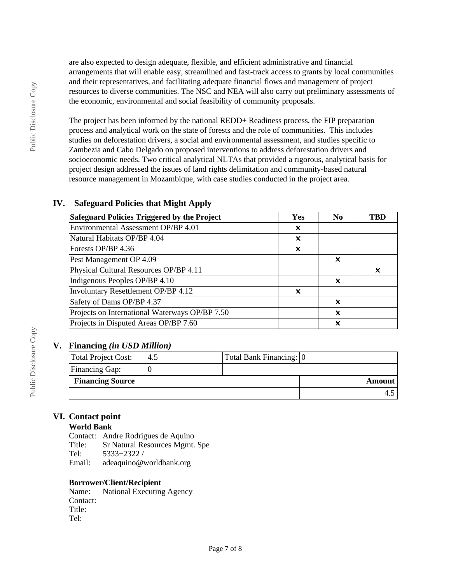are also expected to design adequate, flexible, and efficient administrative and financial arrangements that will enable easy, streamlined and fast-track access to grants by local communities and their representatives, and facilitating adequate financial flows and management of project resources to diverse communities. The NSC and NEA will also carry out preliminary assessments of the economic, environmental and social feasibility of community proposals.

The project has been informed by the national REDD+ Readiness process, the FIP preparation process and analytical work on the state of forests and the role of communities. This includes studies on deforestation drivers, a social and environmental assessment, and studies specific to Zambezia and Cabo Delgado on proposed interventions to address deforestation drivers and socioeconomic needs. Two critical analytical NLTAs that provided a rigorous, analytical basis for project design addressed the issues of land rights delimitation and community-based natural resource management in Mozambique, with case studies conducted in the project area.

## **IV. Safeguard Policies that Might Apply**

| Safeguard Policies Triggered by the Project    | Yes                       | N <sub>0</sub> | TBD |
|------------------------------------------------|---------------------------|----------------|-----|
| Environmental Assessment OP/BP 4.01            | $\boldsymbol{\mathsf{x}}$ |                |     |
| Natural Habitats OP/BP 4.04                    | x                         |                |     |
| Forests OP/BP 4.36                             | $\boldsymbol{\mathsf{x}}$ |                |     |
| Pest Management OP 4.09                        |                           | x              |     |
| Physical Cultural Resources OP/BP 4.11         |                           |                | x   |
| Indigenous Peoples OP/BP 4.10                  |                           | ×              |     |
| Involuntary Resettlement OP/BP 4.12            | x                         |                |     |
| Safety of Dams OP/BP 4.37                      |                           | ×              |     |
| Projects on International Waterways OP/BP 7.50 |                           | ×              |     |
| Projects in Disputed Areas OP/BP 7.60          |                           | ×              |     |

## **V. Financing** *(in USD Million)*

| Total Project Cost:     | 4.5 | Total Bank Financing: 0 |        |
|-------------------------|-----|-------------------------|--------|
|                         |     |                         |        |
| <b>Financing Gap:</b>   |     |                         |        |
| <b>Financing Source</b> |     |                         | Amount |
|                         |     |                         |        |

## **VI. Contact point**

### **World Bank**

Contact: Andre Rodrigues de Aquino Title: Sr Natural Resources Mgmt. Spe Tel: 5333+2322 / Email: adeaquino@worldbank.org

### **Borrower/Client/Recipient**

Name: National Executing Agency Contact: Title: Tel: